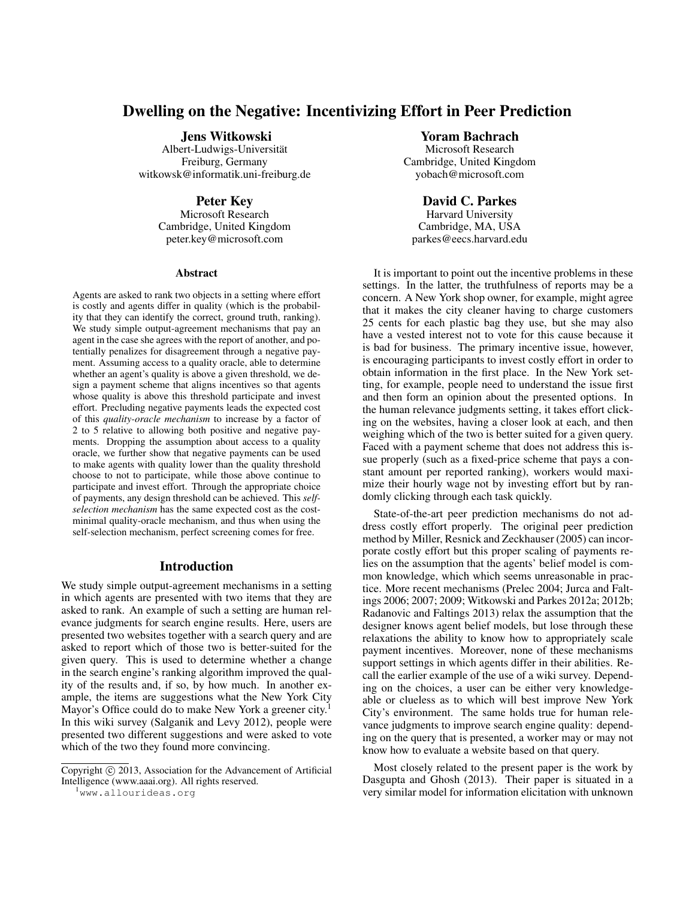# Dwelling on the Negative: Incentivizing Effort in Peer Prediction

Jens Witkowski

Albert-Ludwigs-Universitat¨ Freiburg, Germany witkowsk@informatik.uni-freiburg.de

## Peter Key

Microsoft Research Cambridge, United Kingdom peter.key@microsoft.com

#### **Abstract**

Agents are asked to rank two objects in a setting where effort is costly and agents differ in quality (which is the probability that they can identify the correct, ground truth, ranking). We study simple output-agreement mechanisms that pay an agent in the case she agrees with the report of another, and potentially penalizes for disagreement through a negative payment. Assuming access to a quality oracle, able to determine whether an agent's quality is above a given threshold, we design a payment scheme that aligns incentives so that agents whose quality is above this threshold participate and invest effort. Precluding negative payments leads the expected cost of this *quality-oracle mechanism* to increase by a factor of 2 to 5 relative to allowing both positive and negative payments. Dropping the assumption about access to a quality oracle, we further show that negative payments can be used to make agents with quality lower than the quality threshold choose to not to participate, while those above continue to participate and invest effort. Through the appropriate choice of payments, any design threshold can be achieved. This *selfselection mechanism* has the same expected cost as the costminimal quality-oracle mechanism, and thus when using the self-selection mechanism, perfect screening comes for free.

## Introduction

We study simple output-agreement mechanisms in a setting in which agents are presented with two items that they are asked to rank. An example of such a setting are human relevance judgments for search engine results. Here, users are presented two websites together with a search query and are asked to report which of those two is better-suited for the given query. This is used to determine whether a change in the search engine's ranking algorithm improved the quality of the results and, if so, by how much. In another example, the items are suggestions what the New York City Mayor's Office could do to make New York a greener city.<sup>1</sup> In this wiki survey (Salganik and Levy 2012), people were presented two different suggestions and were asked to vote which of the two they found more convincing.

<sup>1</sup>www.allourideas.org

#### Yoram Bachrach

Microsoft Research Cambridge, United Kingdom yobach@microsoft.com

## David C. Parkes

Harvard University Cambridge, MA, USA parkes@eecs.harvard.edu

It is important to point out the incentive problems in these settings. In the latter, the truthfulness of reports may be a concern. A New York shop owner, for example, might agree that it makes the city cleaner having to charge customers 25 cents for each plastic bag they use, but she may also have a vested interest not to vote for this cause because it is bad for business. The primary incentive issue, however, is encouraging participants to invest costly effort in order to obtain information in the first place. In the New York setting, for example, people need to understand the issue first and then form an opinion about the presented options. In the human relevance judgments setting, it takes effort clicking on the websites, having a closer look at each, and then weighing which of the two is better suited for a given query. Faced with a payment scheme that does not address this issue properly (such as a fixed-price scheme that pays a constant amount per reported ranking), workers would maximize their hourly wage not by investing effort but by randomly clicking through each task quickly.

State-of-the-art peer prediction mechanisms do not address costly effort properly. The original peer prediction method by Miller, Resnick and Zeckhauser (2005) can incorporate costly effort but this proper scaling of payments relies on the assumption that the agents' belief model is common knowledge, which which seems unreasonable in practice. More recent mechanisms (Prelec 2004; Jurca and Faltings 2006; 2007; 2009; Witkowski and Parkes 2012a; 2012b; Radanovic and Faltings 2013) relax the assumption that the designer knows agent belief models, but lose through these relaxations the ability to know how to appropriately scale payment incentives. Moreover, none of these mechanisms support settings in which agents differ in their abilities. Recall the earlier example of the use of a wiki survey. Depending on the choices, a user can be either very knowledgeable or clueless as to which will best improve New York City's environment. The same holds true for human relevance judgments to improve search engine quality: depending on the query that is presented, a worker may or may not know how to evaluate a website based on that query.

Most closely related to the present paper is the work by Dasgupta and Ghosh (2013). Their paper is situated in a very similar model for information elicitation with unknown

Copyright (c) 2013, Association for the Advancement of Artificial Intelligence (www.aaai.org). All rights reserved.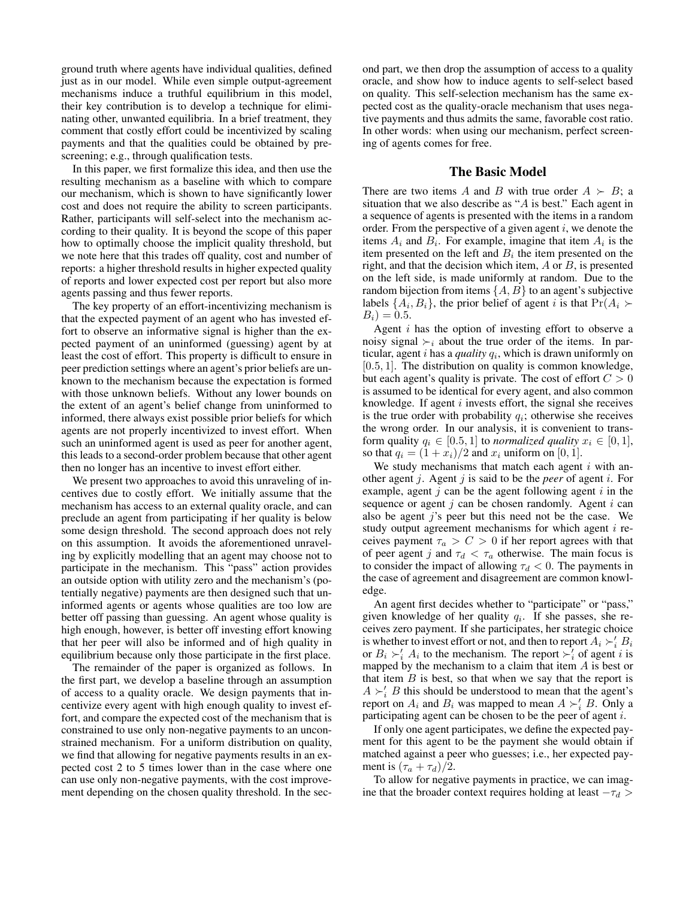ground truth where agents have individual qualities, defined just as in our model. While even simple output-agreement mechanisms induce a truthful equilibrium in this model, their key contribution is to develop a technique for eliminating other, unwanted equilibria. In a brief treatment, they comment that costly effort could be incentivized by scaling payments and that the qualities could be obtained by prescreening; e.g., through qualification tests.

In this paper, we first formalize this idea, and then use the resulting mechanism as a baseline with which to compare our mechanism, which is shown to have significantly lower cost and does not require the ability to screen participants. Rather, participants will self-select into the mechanism according to their quality. It is beyond the scope of this paper how to optimally choose the implicit quality threshold, but we note here that this trades off quality, cost and number of reports: a higher threshold results in higher expected quality of reports and lower expected cost per report but also more agents passing and thus fewer reports.

The key property of an effort-incentivizing mechanism is that the expected payment of an agent who has invested effort to observe an informative signal is higher than the expected payment of an uninformed (guessing) agent by at least the cost of effort. This property is difficult to ensure in peer prediction settings where an agent's prior beliefs are unknown to the mechanism because the expectation is formed with those unknown beliefs. Without any lower bounds on the extent of an agent's belief change from uninformed to informed, there always exist possible prior beliefs for which agents are not properly incentivized to invest effort. When such an uninformed agent is used as peer for another agent, this leads to a second-order problem because that other agent then no longer has an incentive to invest effort either.

We present two approaches to avoid this unraveling of incentives due to costly effort. We initially assume that the mechanism has access to an external quality oracle, and can preclude an agent from participating if her quality is below some design threshold. The second approach does not rely on this assumption. It avoids the aforementioned unraveling by explicitly modelling that an agent may choose not to participate in the mechanism. This "pass" action provides an outside option with utility zero and the mechanism's (potentially negative) payments are then designed such that uninformed agents or agents whose qualities are too low are better off passing than guessing. An agent whose quality is high enough, however, is better off investing effort knowing that her peer will also be informed and of high quality in equilibrium because only those participate in the first place.

The remainder of the paper is organized as follows. In the first part, we develop a baseline through an assumption of access to a quality oracle. We design payments that incentivize every agent with high enough quality to invest effort, and compare the expected cost of the mechanism that is constrained to use only non-negative payments to an unconstrained mechanism. For a uniform distribution on quality, we find that allowing for negative payments results in an expected cost 2 to 5 times lower than in the case where one can use only non-negative payments, with the cost improvement depending on the chosen quality threshold. In the second part, we then drop the assumption of access to a quality oracle, and show how to induce agents to self-select based on quality. This self-selection mechanism has the same expected cost as the quality-oracle mechanism that uses negative payments and thus admits the same, favorable cost ratio. In other words: when using our mechanism, perfect screening of agents comes for free.

### The Basic Model

There are two items A and B with true order  $A \succ B$ ; a situation that we also describe as "A is best." Each agent in a sequence of agents is presented with the items in a random order. From the perspective of a given agent  $i$ , we denote the items  $A_i$  and  $B_i$ . For example, imagine that item  $A_i$  is the item presented on the left and  $B_i$  the item presented on the right, and that the decision which item,  $A$  or  $B$ , is presented on the left side, is made uniformly at random. Due to the random bijection from items  $\{A, B\}$  to an agent's subjective labels  $\{A_i, B_i\}$ , the prior belief of agent i is that  $Pr(A_i \succ$  $B_i$ ) = 0.5.

Agent  $i$  has the option of investing effort to observe a noisy signal  $\succ_i$  about the true order of the items. In particular, agent  $i$  has a *quality*  $q_i$ , which is drawn uniformly on [0.5, 1]. The distribution on quality is common knowledge, but each agent's quality is private. The cost of effort  $C > 0$ is assumed to be identical for every agent, and also common knowledge. If agent  $i$  invests effort, the signal she receives is the true order with probability  $q_i$ ; otherwise she receives the wrong order. In our analysis, it is convenient to transform quality  $q_i \in [0.5, 1]$  to *normalized quality*  $x_i \in [0, 1]$ , so that  $q_i = (1 + x_i)/2$  and  $x_i$  uniform on [0, 1].

We study mechanisms that match each agent  $i$  with another agent j. Agent j is said to be the *peer* of agent i. For example, agent  $j$  can be the agent following agent  $i$  in the sequence or agent  $j$  can be chosen randomly. Agent  $i$  can also be agent  $j$ 's peer but this need not be the case. We study output agreement mechanisms for which agent  $i$  receives payment  $\tau_a > C > 0$  if her report agrees with that of peer agent j and  $\tau_d < \tau_a$  otherwise. The main focus is to consider the impact of allowing  $\tau_d < 0$ . The payments in the case of agreement and disagreement are common knowledge.

An agent first decides whether to "participate" or "pass," given knowledge of her quality  $q_i$ . If she passes, she receives zero payment. If she participates, her strategic choice is whether to invest effort or not, and then to report  $A_i \succ_i' B_i$ or  $B_i \succ_i' A_i$  to the mechanism. The report  $\succ_i'$  of agent i is mapped by the mechanism to a claim that item  $A$  is best or that item  $B$  is best, so that when we say that the report is  $A \succ_i' B$  this should be understood to mean that the agent's report on  $A_i$  and  $B_i$  was mapped to mean  $A \succ_i' B$ . Only a participating agent can be chosen to be the peer of agent i.

If only one agent participates, we define the expected payment for this agent to be the payment she would obtain if matched against a peer who guesses; i.e., her expected payment is  $(\tau_a + \tau_d)/2$ .

To allow for negative payments in practice, we can imagine that the broader context requires holding at least  $-\tau_d$  >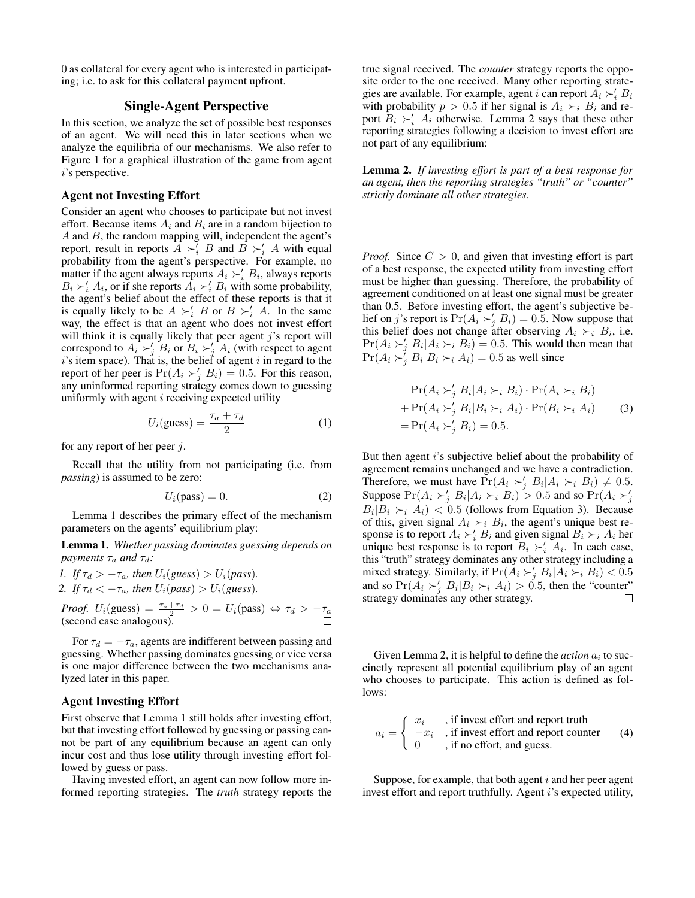0 as collateral for every agent who is interested in participating; i.e. to ask for this collateral payment upfront.

## Single-Agent Perspective

In this section, we analyze the set of possible best responses of an agent. We will need this in later sections when we analyze the equilibria of our mechanisms. We also refer to Figure 1 for a graphical illustration of the game from agent i's perspective.

#### Agent not Investing Effort

Consider an agent who chooses to participate but not invest effort. Because items  $A_i$  and  $B_i$  are in a random bijection to  $A$  and  $B$ , the random mapping will, independent the agent's report, result in reports  $\widetilde{A} \succ_i^{\widetilde{i}} B$  and  $\widetilde{B} \succ_i^{\prime} A$  with equal probability from the agent's perspective. For example, no matter if the agent always reports  $A_i \succ_i B_i$ , always reports  $B_i \succ_i' A_i$ , or if she reports  $\overline{A_i} \succ_i' B_i$  with some probability, the agent's belief about the effect of these reports is that it is equally likely to be  $A \succ_i' B$  or  $B \succ_i' A$ . In the same way, the effect is that an agent who does not invest effort will think it is equally likely that peer agent  $j$ 's report will correspond to  $A_i \succ'_j B_i$  or  $B_i \succ'_j A_i$  (with respect to agent  $i$ 's item space). That is, the belief of agent  $i$  in regard to the report of her peer is  $Pr(A_i \succ'_j B_i) = 0.5$ . For this reason, any uninformed reporting strategy comes down to guessing uniformly with agent  $i$  receiving expected utility

$$
U_i(\text{guess}) = \frac{\tau_a + \tau_d}{2} \tag{1}
$$

for any report of her peer  $j$ .

Recall that the utility from not participating (i.e. from *passing*) is assumed to be zero:

$$
U_i(\text{pass}) = 0. \tag{2}
$$

Lemma 1 describes the primary effect of the mechanism parameters on the agents' equilibrium play:

Lemma 1. *Whether passing dominates guessing depends on payments*  $\tau_a$  *and*  $\tau_d$ *:* 

\n- *If* 
$$
\tau_d > -\tau_a
$$
, then  $U_i(guess) > U_i(pass)$ .
\n- *If*  $\tau_d < -\tau_a$ , then  $U_i(pass) > U_i(guess)$ .
\n

*Proof.*  $U_i$ (guess) =  $\frac{\tau_a + \tau_d}{2} > 0 = U_i$ (pass)  $\Leftrightarrow \tau_d > -\tau_a$ (second case analogous).

For  $\tau_d = -\tau_a$ , agents are indifferent between passing and guessing. Whether passing dominates guessing or vice versa is one major difference between the two mechanisms analyzed later in this paper.

### Agent Investing Effort

First observe that Lemma 1 still holds after investing effort, but that investing effort followed by guessing or passing cannot be part of any equilibrium because an agent can only incur cost and thus lose utility through investing effort followed by guess or pass.

Having invested effort, an agent can now follow more informed reporting strategies. The *truth* strategy reports the

true signal received. The *counter* strategy reports the opposite order to the one received. Many other reporting strategies are available. For example, agent i can report  $A_i \succ_i' B_i$ with probability  $p > 0.5$  if her signal is  $A_i \succ_i B_i$  and report  $B_i \succ_i' A_i$  otherwise. Lemma 2 says that these other reporting strategies following a decision to invest effort are not part of any equilibrium:

Lemma 2. *If investing effort is part of a best response for an agent, then the reporting strategies "truth" or "counter" strictly dominate all other strategies.*

*Proof.* Since  $C > 0$ , and given that investing effort is part of a best response, the expected utility from investing effort must be higher than guessing. Therefore, the probability of agreement conditioned on at least one signal must be greater than 0.5. Before investing effort, the agent's subjective belief on j's report is  $Pr(A_i \succ_j B_i) = 0.5$ . Now suppose that this belief does not change after observing  $A_i \succ_i B_i$ , i.e.  $Pr(A_i \succ'_j B_i | A_i \succ_i B_i) = 0.5$ . This would then mean that  $Pr(A_i > j B_i | B_i > i A_i) = 0.5$  as well since

$$
\Pr(A_i \succ'_j B_i | A_i \succ_i B_i) \cdot \Pr(A_i \succ_i B_i)
$$
  
+ 
$$
\Pr(A_i \succ'_j B_i | B_i \succ_i A_i) \cdot \Pr(B_i \succ_i A_i)
$$
 (3)  
= 
$$
\Pr(A_i \succ'_j B_i) = 0.5.
$$

But then agent i's subjective belief about the probability of agreement remains unchanged and we have a contradiction. Therefore, we must have  $Pr(A_i \succ'_j B_i | A_i \succ_i B_i) \neq 0.5$ . Suppose  $Pr(A_i \succ'_j B_i | A_i \succ_i B_i) > 0.5$  and so  $Pr(A_i \succ'_j$  $B_i|B_i \rangle_i$   $\langle A_i \rangle_i$  < 0.5 (follows from Equation 3). Because of this, given signal  $A_i \succ_i B_i$ , the agent's unique best response is to report  $A_i \succ_i' B_i$  and given signal  $B_i \succ_i A_i$  her unique best response is to report  $B_i \succ_i' A_i$ . In each case, this "truth" strategy dominates any other strategy including a mixed strategy. Similarly, if  $Pr(A_i \succ_j B_i | A_i \succ_i B_i) < 0.5$ and so  $Pr(A_i \succ'_j B_i | B_i \succ_i A_i) > 0.5$ , then the "counter" strategy dominates any other strategy.

Given Lemma 2, it is helpful to define the  $action \ a_i$  to succinctly represent all potential equilibrium play of an agent who chooses to participate. This action is defined as follows:

$$
a_i = \begin{cases} x_i, & \text{if invest effort and report truth} \\ -x_i, & \text{if invest effort and report counter} \\ 0, & \text{if no effort, and guess.} \end{cases}
$$
 (4)

Suppose, for example, that both agent  $i$  and her peer agent invest effort and report truthfully. Agent *i*'s expected utility,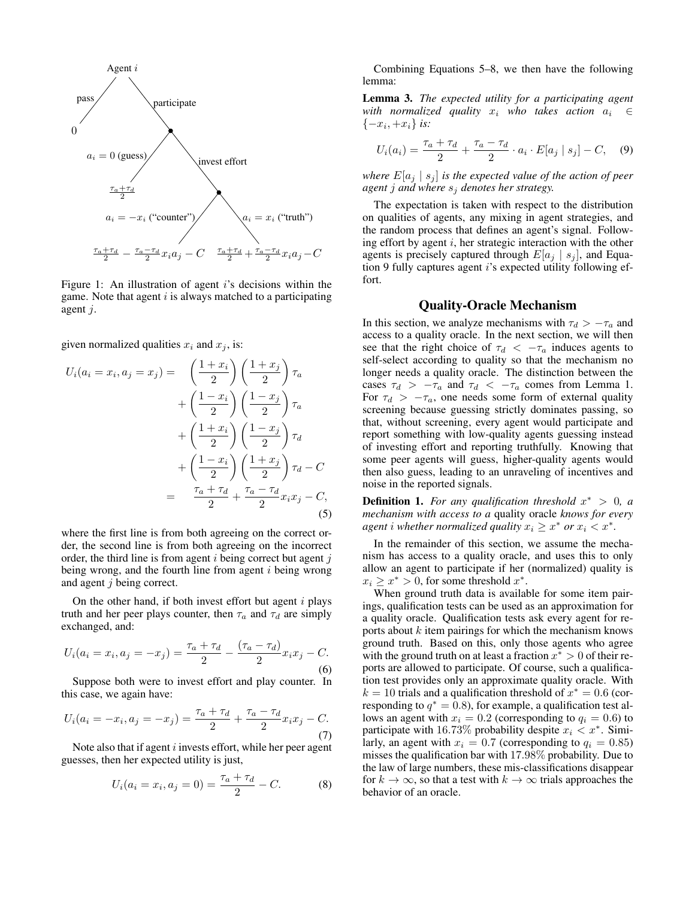

Figure 1: An illustration of agent  $i$ 's decisions within the game. Note that agent  $i$  is always matched to a participating agent j.

given normalized qualities  $x_i$  and  $x_j$ , is:

$$
U_i(a_i = x_i, a_j = x_j) = \left(\frac{1+x_i}{2}\right)\left(\frac{1+x_j}{2}\right)\tau_a
$$

$$
+\left(\frac{1-x_i}{2}\right)\left(\frac{1-x_j}{2}\right)\tau_a
$$

$$
+\left(\frac{1+x_i}{2}\right)\left(\frac{1-x_j}{2}\right)\tau_d
$$

$$
+\left(\frac{1-x_i}{2}\right)\left(\frac{1+x_j}{2}\right)\tau_d - C
$$

$$
=\frac{\tau_a + \tau_d}{2} + \frac{\tau_a - \tau_d}{2}x_ix_j - C,
$$
(5)

where the first line is from both agreeing on the correct order, the second line is from both agreeing on the incorrect order, the third line is from agent  $i$  being correct but agent  $j$ being wrong, and the fourth line from agent  $i$  being wrong and agent j being correct.

On the other hand, if both invest effort but agent  $i$  plays truth and her peer plays counter, then  $\tau_a$  and  $\tau_d$  are simply exchanged, and:

$$
U_i(a_i = x_i, a_j = -x_j) = \frac{\tau_a + \tau_d}{2} - \frac{(\tau_a - \tau_d)}{2} x_i x_j - C.
$$
\n(6)

Suppose both were to invest effort and play counter. In this case, we again have:

$$
U_i(a_i = -x_i, a_j = -x_j) = \frac{\tau_a + \tau_d}{2} + \frac{\tau_a - \tau_d}{2} x_i x_j - C.
$$
\n(7)

Note also that if agent  $i$  invests effort, while her peer agent guesses, then her expected utility is just,

$$
U_i(a_i = x_i, a_j = 0) = \frac{\tau_a + \tau_d}{2} - C.
$$
 (8)

Combining Equations 5–8, we then have the following lemma:

Lemma 3. *The expected utility for a participating agent with normalized quality*  $x_i$  *who takes action*  $a_i \in$ {−x<sup>i</sup> , +xi} *is:*

$$
U_i(a_i) = \frac{\tau_a + \tau_d}{2} + \frac{\tau_a - \tau_d}{2} \cdot a_i \cdot E[a_j \mid s_j] - C,\quad (9)
$$

*where*  $E[a_j \mid s_j]$  *is the expected value of the action of peer agent* j *and where* s<sup>j</sup> *denotes her strategy.*

The expectation is taken with respect to the distribution on qualities of agents, any mixing in agent strategies, and the random process that defines an agent's signal. Following effort by agent  $i$ , her strategic interaction with the other agents is precisely captured through  $E[a_j | s_j]$ , and Equation 9 fully captures agent *i*'s expected utility following effort.

#### Quality-Oracle Mechanism

In this section, we analyze mechanisms with  $\tau_d > -\tau_a$  and access to a quality oracle. In the next section, we will then see that the right choice of  $\tau_d < -\tau_a$  induces agents to self-select according to quality so that the mechanism no longer needs a quality oracle. The distinction between the cases  $\tau_d$  >  $-\tau_a$  and  $\tau_d$  <  $-\tau_a$  comes from Lemma 1. For  $\tau_d > -\tau_a$ , one needs some form of external quality screening because guessing strictly dominates passing, so that, without screening, every agent would participate and report something with low-quality agents guessing instead of investing effort and reporting truthfully. Knowing that some peer agents will guess, higher-quality agents would then also guess, leading to an unraveling of incentives and noise in the reported signals.

**Definition 1.** For any qualification threshold  $x^* > 0$ , a *mechanism with access to a* quality oracle *knows for every agent i* whether normalized quality  $x_i \geq x^*$  or  $x_i < x^*$ .

In the remainder of this section, we assume the mechanism has access to a quality oracle, and uses this to only allow an agent to participate if her (normalized) quality is  $x_i \geq x^* > 0$ , for some threshold  $x^*$ .

When ground truth data is available for some item pairings, qualification tests can be used as an approximation for a quality oracle. Qualification tests ask every agent for reports about  $k$  item pairings for which the mechanism knows ground truth. Based on this, only those agents who agree with the ground truth on at least a fraction  $x^* > 0$  of their reports are allowed to participate. Of course, such a qualification test provides only an approximate quality oracle. With  $k = 10$  trials and a qualification threshold of  $x^* = 0.6$  (corresponding to  $q^* = 0.8$ ), for example, a qualification test allows an agent with  $x_i = 0.2$  (corresponding to  $q_i = 0.6$ ) to participate with 16.73% probability despite  $x_i < x^*$ . Similarly, an agent with  $x_i = 0.7$  (corresponding to  $q_i = 0.85$ ) misses the qualification bar with 17.98% probability. Due to the law of large numbers, these mis-classifications disappear for  $k \to \infty$ , so that a test with  $k \to \infty$  trials approaches the behavior of an oracle.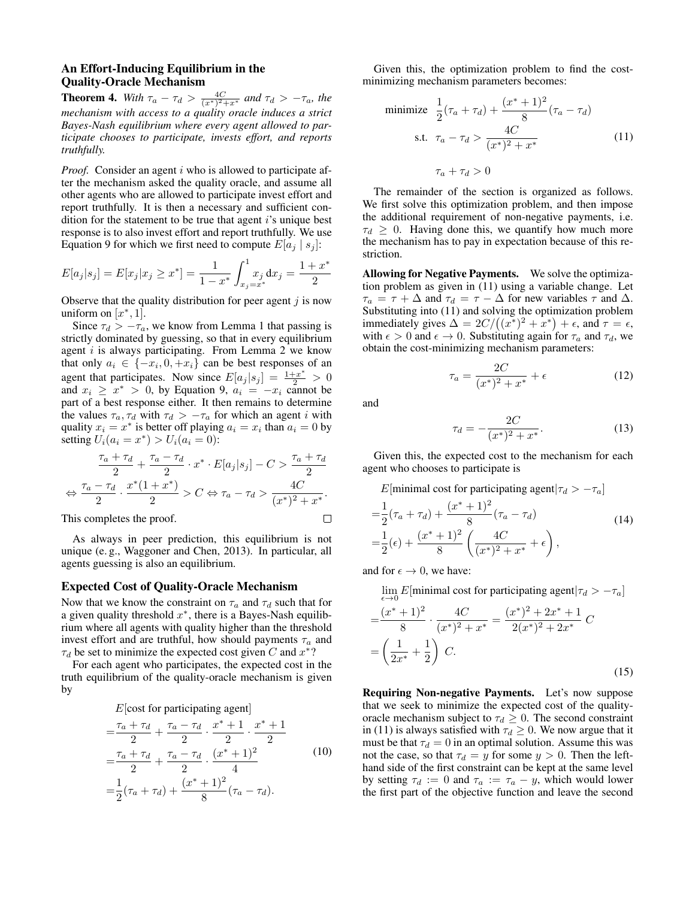## An Effort-Inducing Equilibrium in the Quality-Oracle Mechanism

**Theorem 4.** *With*  $\tau_a - \tau_d > \frac{4C}{(x^*)^2 + x^*}$  *and*  $\tau_d > -\tau_a$ *, the mechanism with access to a quality oracle induces a strict Bayes-Nash equilibrium where every agent allowed to participate chooses to participate, invests effort, and reports truthfully.*

*Proof.* Consider an agent i who is allowed to participate after the mechanism asked the quality oracle, and assume all other agents who are allowed to participate invest effort and report truthfully. It is then a necessary and sufficient condition for the statement to be true that agent  $i$ 's unique best response is to also invest effort and report truthfully. We use Equation 9 for which we first need to compute  $E[a_i | s_j]$ :

$$
E[a_j|s_j] = E[x_j|x_j \ge x^*] = \frac{1}{1 - x^*} \int_{x_j = x^*}^{1} dx_j dx_j = \frac{1 + x^*}{2}
$$

Observe that the quality distribution for peer agent  $j$  is now uniform on  $[x^*, 1]$ .

Since  $\tau_d > -\tau_a$ , we know from Lemma 1 that passing is strictly dominated by guessing, so that in every equilibrium agent  $i$  is always participating. From Lemma 2 we know that only  $a_i \in \{-x_i, 0, +x_i\}$  can be best responses of an agent that participates. Now since  $E[a_j|s_j] = \frac{1+x^*}{2} > 0$ and  $x_i \geq x^* > 0$ , by Equation 9,  $a_i = -x_i$  cannot be part of a best response either. It then remains to determine the values  $\tau_a, \tau_d$  with  $\tau_d > -\tau_a$  for which an agent i with quality  $x_i = x^*$  is better off playing  $a_i = x_i$  than  $a_i = 0$  by setting  $U_i(a_i = x^*) > U_i(a_i = 0)$ :

$$
\frac{\tau_a + \tau_d}{2} + \frac{\tau_a - \tau_d}{2} \cdot x^* \cdot E[a_j|s_j] - C > \frac{\tau_a + \tau_d}{2}
$$

$$
\Leftrightarrow \frac{\tau_a - \tau_d}{2} \cdot \frac{x^*(1+x^*)}{2} > C \Leftrightarrow \tau_a - \tau_d > \frac{4C}{(x^*)^2 + x^*}.
$$

This completes the proof.

As always in peer prediction, this equilibrium is not unique (e. g., Waggoner and Chen, 2013). In particular, all agents guessing is also an equilibrium.

#### Expected Cost of Quality-Oracle Mechanism

Now that we know the constraint on  $\tau_a$  and  $\tau_d$  such that for a given quality threshold  $x^*$ , there is a Bayes-Nash equilibrium where all agents with quality higher than the threshold invest effort and are truthful, how should payments  $\tau_a$  and  $\tau_d$  be set to minimize the expected cost given C and  $x^*$ ?

For each agent who participates, the expected cost in the truth equilibrium of the quality-oracle mechanism is given by

 $E$ [cost for participating agent]

$$
= \frac{\tau_a + \tau_d}{2} + \frac{\tau_a - \tau_d}{2} \cdot \frac{x^* + 1}{2} \cdot \frac{x^* + 1}{2}
$$
  

$$
= \frac{\tau_a + \tau_d}{2} + \frac{\tau_a - \tau_d}{2} \cdot \frac{(x^* + 1)^2}{4}
$$
  

$$
= \frac{1}{2}(\tau_a + \tau_d) + \frac{(x^* + 1)^2}{8}(\tau_a - \tau_d).
$$
 (10)

Given this, the optimization problem to find the costminimizing mechanism parameters becomes:

minimize 
$$
\frac{1}{2}(\tau_a + \tau_d) + \frac{(x^* + 1)^2}{8}(\tau_a - \tau_d)
$$
  
s.t.  $\tau_a - \tau_d > \frac{4C}{(x^*)^2 + x^*}$  (11)  
 $\tau_a + \tau_d > 0$ 

The remainder of the section is organized as follows. We first solve this optimization problem, and then impose the additional requirement of non-negative payments, i.e.  $\tau_d \geq 0$ . Having done this, we quantify how much more the mechanism has to pay in expectation because of this restriction.

Allowing for Negative Payments. We solve the optimization problem as given in (11) using a variable change. Let  $\tau_a = \tau + \Delta$  and  $\tau_d = \tau - \Delta$  for new variables  $\tau$  and  $\Delta$ . Substituting into (11) and solving the optimization problem immediately gives  $\Delta = 2C/((x^*)^2 + x^*) + \epsilon$ , and  $\tau = \epsilon$ , with  $\epsilon > 0$  and  $\epsilon \to 0$ . Substituting again for  $\tau_a$  and  $\tau_d$ , we obtain the cost-minimizing mechanism parameters:

$$
\tau_a = \frac{2C}{(x^*)^2 + x^*} + \epsilon \tag{12}
$$

and

 $\Box$ 

$$
\tau_d = -\frac{2C}{(x^*)^2 + x^*}.\tag{13}
$$

Given this, the expected cost to the mechanism for each agent who chooses to participate is

E[minimal cost for participating agent $|\tau_d > -\tau_a|$ ]

$$
= \frac{1}{2}(\tau_a + \tau_d) + \frac{(x^* + 1)^2}{8}(\tau_a - \tau_d)
$$
  
=  $\frac{1}{2}(\epsilon) + \frac{(x^* + 1)^2}{8} \left(\frac{4C}{(x^*)^2 + x^*} + \epsilon\right),$  (14)

and for  $\epsilon \to 0$ , we have:

 $\lim_{\epsilon \to 0} E$ [minimal cost for participating agent $|\tau_d > -\tau_a]$ 

$$
=\frac{(x^*+1)^2}{8} \cdot \frac{4C}{(x^*)^2 + x^*} = \frac{(x^*)^2 + 2x^* + 1}{2(x^*)^2 + 2x^*} C
$$

$$
=\left(\frac{1}{2x^*} + \frac{1}{2}\right) C.
$$
(15)

Requiring Non-negative Payments. Let's now suppose that we seek to minimize the expected cost of the qualityoracle mechanism subject to  $\tau_d \geq 0$ . The second constraint in (11) is always satisfied with  $\tau_d \geq 0$ . We now argue that it must be that  $\tau_d = 0$  in an optimal solution. Assume this was not the case, so that  $\tau_d = y$  for some  $y > 0$ . Then the lefthand side of the first constraint can be kept at the same level by setting  $\tau_d := 0$  and  $\tau_a := \tau_a - y$ , which would lower the first part of the objective function and leave the second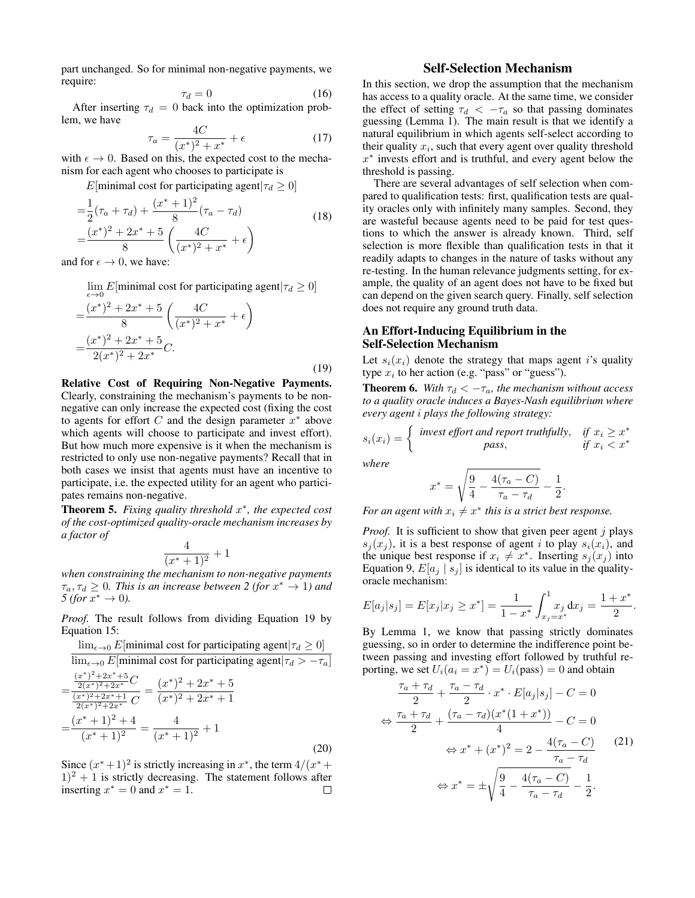part unchanged. So for minimal non-negative payments, we require:

$$
\tau_d = 0 \tag{16}
$$

After inserting  $\tau_d = 0$  back into the optimization problem, we have

$$
\tau_a = \frac{4C}{(x^*)^2 + x^*} + \epsilon \tag{17}
$$

with  $\epsilon \to 0$ . Based on this, the expected cost to the mechanism for each agent who chooses to participate is

E[minimal cost for participating agent $|\tau_d \geq 0|$ ]

$$
= \frac{1}{2}(\tau_a + \tau_d) + \frac{(x^* + 1)^2}{8}(\tau_a - \tau_d)
$$
  
= 
$$
\frac{(x^*)^2 + 2x^* + 5}{8} \left(\frac{4C}{(x^*)^2 + x^*} + \epsilon\right)
$$
 (18)

and for  $\epsilon \to 0$ , we have:

 $\lim_{\epsilon \to 0} E$ [minimal cost for participating agent $|\tau_d \ge 0]$ 

$$
=\frac{(x^*)^2 + 2x^* + 5}{8} \left(\frac{4C}{(x^*)^2 + x^*} + \epsilon\right)
$$

$$
=\frac{(x^*)^2 + 2x^* + 5}{2(x^*)^2 + 2x^*}C.
$$
(19)

Relative Cost of Requiring Non-Negative Payments. Clearly, constraining the mechanism's payments to be nonnegative can only increase the expected cost (fixing the cost to agents for effort  $C$  and the design parameter  $x^*$  above which agents will choose to participate and invest effort). But how much more expensive is it when the mechanism is restricted to only use non-negative payments? Recall that in both cases we insist that agents must have an incentive to participate, i.e. the expected utility for an agent who participates remains non-negative.

Theorem 5. *Fixing quality threshold* x ∗ *, the expected cost of the cost-optimized quality-oracle mechanism increases by a factor of*

$$
\frac{4}{(x^*+1)^2} + 1
$$

*when constraining the mechanism to non-negative payments*  $\tau_a, \tau_d \geq 0$ . This is an increase between 2 (for  $x^* \to 1$ ) and  $5 (for x^* \to 0).$ 

*Proof.* The result follows from dividing Equation 19 by Equation 15:

$$
\lim_{\epsilon \to 0} E[\text{minimal cost for participating agent}|\tau_d \ge 0]
$$
\n
$$
\lim_{\epsilon \to 0} E[\text{minimal cost for participating agent}|\tau_d > -\tau_a]
$$
\n
$$
= \frac{\frac{(x^*)^2 + 2x^* + 5}{2(x^*)^2 + 2x^*}C}{\frac{(x^*)^2 + 2x^{**} + 1}{2(x^*)^2 + 2x^*}C} = \frac{(x^*)^2 + 2x^* + 5}{(x^*)^2 + 2x^* + 1}
$$
\n
$$
= \frac{(x^* + 1)^2 + 4}{(x^* + 1)^2} = \frac{4}{(x^* + 1)^2} + 1
$$
\n(20)

Since  $(x^*+1)^2$  is strictly increasing in  $x^*$ , the term  $4/(x^*+1)$  $(1)^2 + 1$  is strictly decreasing. The statement follows after inserting  $x^* = 0$  and  $x^* = 1$ .  $\Box$ 

## Self-Selection Mechanism

In this section, we drop the assumption that the mechanism has access to a quality oracle. At the same time, we consider the effect of setting  $\tau_d < -\tau_a$  so that passing dominates guessing (Lemma 1). The main result is that we identify a natural equilibrium in which agents self-select according to their quality  $x_i$ , such that every agent over quality threshold  $x^*$  invests effort and is truthful, and every agent below the threshold is passing.

There are several advantages of self selection when compared to qualification tests: first, qualification tests are quality oracles only with infinitely many samples. Second, they are wasteful because agents need to be paid for test questions to which the answer is already known. Third, self selection is more flexible than qualification tests in that it readily adapts to changes in the nature of tasks without any re-testing. In the human relevance judgments setting, for example, the quality of an agent does not have to be fixed but can depend on the given search query. Finally, self selection does not require any ground truth data.

## An Effort-Inducing Equilibrium in the Self-Selection Mechanism

Let  $s_i(x_i)$  denote the strategy that maps agent i's quality type  $x_i$  to her action (e.g. "pass" or "guess").

**Theorem 6.** *With*  $\tau_d < -\tau_a$ *, the mechanism without access to a quality oracle induces a Bayes-Nash equilibrium where every agent* i *plays the following strategy:*

$$
s_i(x_i) = \begin{cases} \text{ invest effort and report truthfully,} & \text{if } x_i \ge x^* \\ \text{pass,} & \text{if } x_i < x^* \end{cases}
$$

$$
x^* = \sqrt{\frac{9}{4} - \frac{4(\tau_a - C)}{\tau_a - \tau_d}} - \frac{1}{2}.
$$

*For an agent with*  $x_i \neq x^*$  *this is a strict best response.* 

*Proof.* It is sufficient to show that given peer agent j plays  $s_i(x_i)$ , it is a best response of agent i to play  $s_i(x_i)$ , and the unique best response if  $x_i \neq x^*$ . Inserting  $s_j(x_j)$  into Equation 9,  $E[a_j | s_j]$  is identical to its value in the qualityoracle mechanism:

$$
E[a_j|s_j] = E[x_j|x_j \ge x^*] = \frac{1}{1 - x^*} \int_{x_j = x^*}^{1} x_j dx_j = \frac{1 + x^*}{2}.
$$

By Lemma 1, we know that passing strictly dominates guessing, so in order to determine the indifference point between passing and investing effort followed by truthful reporting, we set  $U_i(a_i = x^*) = U_i(\text{pass}) = 0$  and obtain

$$
\frac{\tau_a + \tau_d}{2} + \frac{\tau_a - \tau_d}{2} \cdot x^* \cdot E[a_j|s_j] - C = 0
$$

$$
\Leftrightarrow \frac{\tau_a + \tau_d}{2} + \frac{(\tau_a - \tau_d)(x^*(1+x^*))}{4} - C = 0
$$

$$
\Leftrightarrow x^* + (x^*)^2 = 2 - \frac{4(\tau_a - C)}{\tau_a - \tau_d} \qquad (21)
$$

$$
\Leftrightarrow x^* = \pm \sqrt{\frac{9}{4} - \frac{4(\tau_a - C)}{\tau_a - \tau_d} - \frac{1}{2}}.
$$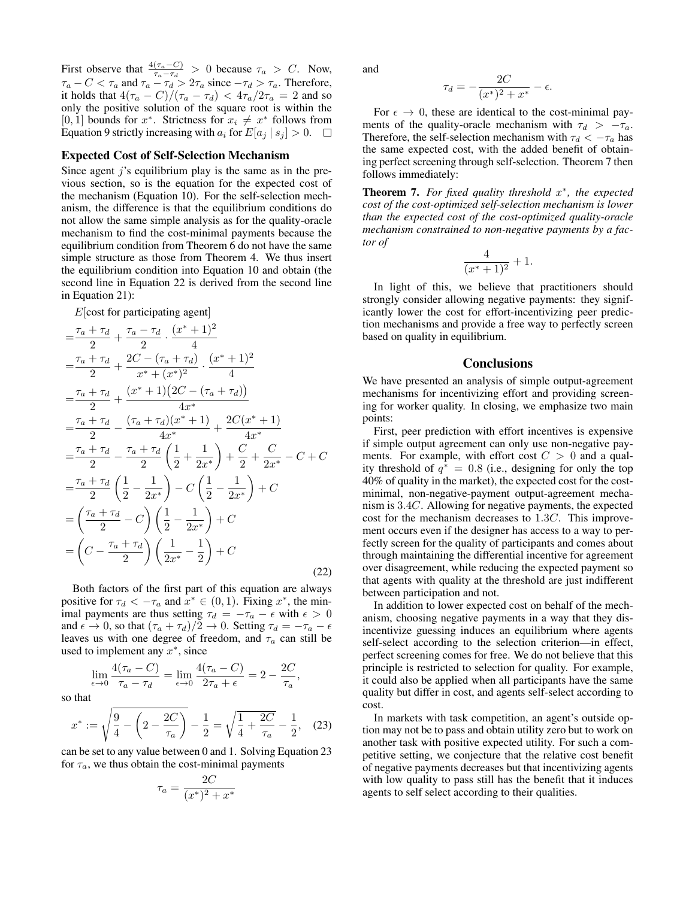First observe that  $\frac{4(\tau_a - C)}{\tau_a - \tau_d} > 0$  because  $\tau_a > C$ . Now,  $\tau_a - C < \tau_a$  and  $\tau_a - \tau_d > 2\tau_a$  since  $-\tau_d > \tau_a$ . Therefore, it holds that  $4(\tau_a - C)/(\tau_a - \tau_d) < 4\tau_a/2\tau_a = 2$  and so only the positive solution of the square root is within the [0, 1] bounds for  $x^*$ . Strictness for  $x_i \neq x^*$  follows from Equation 9 strictly increasing with  $a_i$  for  $E[a_i | s_i] > 0$ .  $\Box$ 

#### Expected Cost of Self-Selection Mechanism

Since agent  $j$ 's equilibrium play is the same as in the previous section, so is the equation for the expected cost of the mechanism (Equation 10). For the self-selection mechanism, the difference is that the equilibrium conditions do not allow the same simple analysis as for the quality-oracle mechanism to find the cost-minimal payments because the equilibrium condition from Theorem 6 do not have the same simple structure as those from Theorem 4. We thus insert the equilibrium condition into Equation 10 and obtain (the second line in Equation 22 is derived from the second line in Equation 21):

 $E$ [cost for participating agent]

$$
\begin{split}\n&= \frac{\tau_a + \tau_d}{2} + \frac{\tau_a - \tau_d}{2} \cdot \frac{(x^* + 1)^2}{4} \\
&= \frac{\tau_a + \tau_d}{2} + \frac{2C - (\tau_a + \tau_d)}{x^* + (x^*)^2} \cdot \frac{(x^* + 1)^2}{4} \\
&= \frac{\tau_a + \tau_d}{2} + \frac{(x^* + 1)(2C - (\tau_a + \tau_d))}{4x^*} \\
&= \frac{\tau_a + \tau_d}{2} - \frac{(\tau_a + \tau_d)(x^* + 1)}{4x^*} + \frac{2C(x^* + 1)}{4x^*} \\
&= \frac{\tau_a + \tau_d}{2} - \frac{\tau_a + \tau_d}{2} \left(\frac{1}{2} + \frac{1}{2x^*}\right) + \frac{C}{2} + \frac{C}{2x^*} - C + C \\
&= \frac{\tau_a + \tau_d}{2} \left(\frac{1}{2} - \frac{1}{2x^*}\right) - C \left(\frac{1}{2} - \frac{1}{2x^*}\right) + C \\
&= \left(\frac{\tau_a + \tau_d}{2} - C\right) \left(\frac{1}{2} - \frac{1}{2x^*}\right) + C \\
&= \left(C - \frac{\tau_a + \tau_d}{2}\right) \left(\frac{1}{2x^*} - \frac{1}{2}\right) + C\n\end{split} \tag{22}
$$

Both factors of the first part of this equation are always positive for  $\tau_d < -\tau_a$  and  $x^* \in (0,1)$ . Fixing  $x^*$ , the minimal payments are thus setting  $\tau_d = -\tau_a - \epsilon$  with  $\epsilon > 0$ and  $\epsilon \to 0$ , so that  $(\tau_a + \tau_d)/2 \to 0$ . Setting  $\tau_d = -\tau_a - \epsilon$ leaves us with one degree of freedom, and  $\tau_a$  can still be used to implement any  $x^*$ , since

$$
\lim_{\epsilon \to 0} \frac{4(\tau_a - C)}{\tau_a - \tau_d} = \lim_{\epsilon \to 0} \frac{4(\tau_a - C)}{2\tau_a + \epsilon} = 2 - \frac{2C}{\tau_a},
$$

so that

$$
x^* := \sqrt{\frac{9}{4} - \left(2 - \frac{2C}{\tau_a}\right)} - \frac{1}{2} = \sqrt{\frac{1}{4} + \frac{2C}{\tau_a}} - \frac{1}{2}, \quad (23)
$$

can be set to any value between 0 and 1. Solving Equation 23 for  $\tau_a$ , we thus obtain the cost-minimal payments

$$
\tau_a = \frac{2C}{(x^*)^2 + x^*}
$$

and

$$
\tau_d = -\frac{2C}{(x^*)^2 + x^*} - \epsilon.
$$

For  $\epsilon \to 0$ , these are identical to the cost-minimal payments of the quality-oracle mechanism with  $\tau_d > -\tau_a$ . Therefore, the self-selection mechanism with  $\tau_d < -\tau_a$  has the same expected cost, with the added benefit of obtaining perfect screening through self-selection. Theorem 7 then follows immediately:

Theorem 7. *For fixed quality threshold* x ∗ *, the expected cost of the cost-optimized self-selection mechanism is lower than the expected cost of the cost-optimized quality-oracle mechanism constrained to non-negative payments by a factor of*

$$
\frac{4}{(x^*+1)^2} + 1.
$$

In light of this, we believe that practitioners should strongly consider allowing negative payments: they significantly lower the cost for effort-incentivizing peer prediction mechanisms and provide a free way to perfectly screen based on quality in equilibrium.

#### **Conclusions**

We have presented an analysis of simple output-agreement mechanisms for incentivizing effort and providing screening for worker quality. In closing, we emphasize two main points:

First, peer prediction with effort incentives is expensive if simple output agreement can only use non-negative payments. For example, with effort cost  $C > 0$  and a quality threshold of  $q^* = 0.8$  (i.e., designing for only the top 40% of quality in the market), the expected cost for the costminimal, non-negative-payment output-agreement mechanism is 3.4C. Allowing for negative payments, the expected cost for the mechanism decreases to 1.3C. This improvement occurs even if the designer has access to a way to perfectly screen for the quality of participants and comes about through maintaining the differential incentive for agreement over disagreement, while reducing the expected payment so that agents with quality at the threshold are just indifferent between participation and not.

In addition to lower expected cost on behalf of the mechanism, choosing negative payments in a way that they disincentivize guessing induces an equilibrium where agents self-select according to the selection criterion—in effect, perfect screening comes for free. We do not believe that this principle is restricted to selection for quality. For example, it could also be applied when all participants have the same quality but differ in cost, and agents self-select according to cost.

In markets with task competition, an agent's outside option may not be to pass and obtain utility zero but to work on another task with positive expected utility. For such a competitive setting, we conjecture that the relative cost benefit of negative payments decreases but that incentivizing agents with low quality to pass still has the benefit that it induces agents to self select according to their qualities.